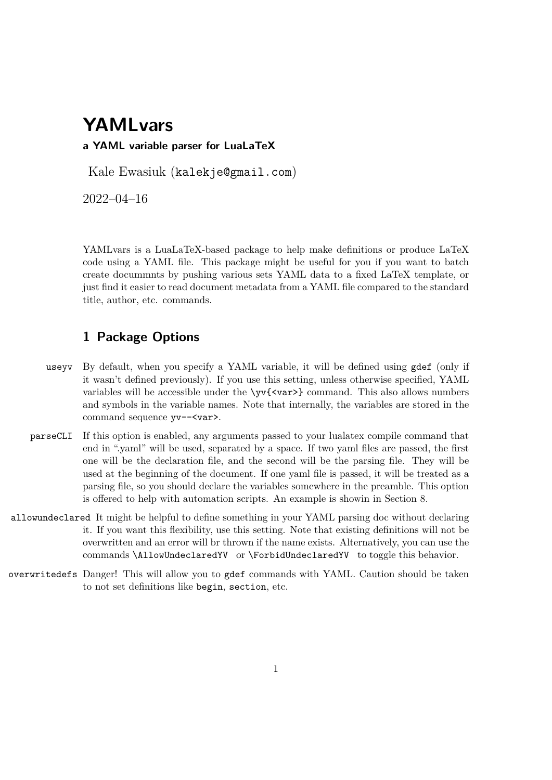# **YAMLvars**

#### **a YAML variable parser for LuaLaTeX**

Kale Ewasiuk (kalekje@gmail.com)

2022–04–16

YAMLvars is a LuaLaTeX-based package to help make definitions or produce LaTeX code using a YAML file. This package might be useful for you if you want to batch create docummnts by pushing various sets YAML data to a fixed LaTeX template, or just find it easier to read document metadata from a YAML file compared to the standard title, author, etc. commands.

### **1 Package Options**

- useyv By default, when you specify a YAML variable, it will be defined using gdef (only if it wasn't defined previously). If you use this setting, unless otherwise specified, YAML variables will be accessible under the  $\forall y \{ \langle \text{var} \rangle \}$  command. This also allows numbers and symbols in the variable names. Note that internally, the variables are stored in the command sequence yv--<var>.
- parseCLI If this option is enabled, any arguments passed to your lualatex compile command that end in ".yaml" will be used, separated by a space. If two yaml files are passed, the first one will be the declaration file, and the second will be the parsing file. They will be used at the beginning of the document. If one yaml file is passed, it will be treated as a parsing file, so you should declare the variables somewhere in the preamble. This option is offered to help with automation scripts. An example is showin in Section 8.
- allowundeclared It might be helpful to define something in your YAML parsing doc without declaring it. If you want this flexibility, use this setting. Note that existing definitions will not be overwritten and an error will br thrown if the name exists. Alternatively, you can use the commands \AllowUndeclaredYV or \ForbidUndeclaredYV to toggle this behavior.
- overwritedefs Danger! This will allow you to gdef commands with YAML. Caution should be taken to not set definitions like begin, section, etc.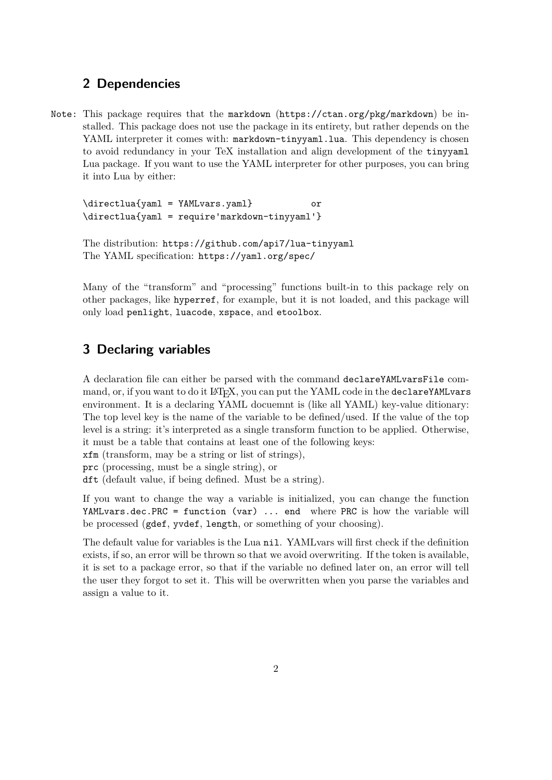### **2 Dependencies**

Note: This package requires that the markdown (https://ctan.org/pkg/markdown) be installed. This package does not use the package in its entirety, but rather depends on the YAML interpreter it comes with: markdown-tinyyaml.lua. This dependency is chosen to avoid redundancy in your TeX installation and align development of the tinyyaml Lua package. If you want to use the YAML interpreter for other purposes, you can bring it into Lua by either:

\directlua{yaml = YAMLvars.yaml} or \directlua{yaml = require'markdown-tinyyaml'}

```
The distribution: https://github.com/api7/lua-tinyyaml
The YAML specification: https://yaml.org/spec/
```
Many of the "transform" and "processing" functions built-in to this package rely on other packages, like hyperref, for example, but it is not loaded, and this package will only load penlight, luacode, xspace, and etoolbox.

## **3 Declaring variables**

A declaration file can either be parsed with the command declareYAMLvarsFile command, or, if you want to do it LAT<sub>EX</sub>, you can put the YAML code in the declareYAMLvars environment. It is a declaring YAML docuemnt is (like all YAML) key-value ditionary: The top level key is the name of the variable to be defined/used. If the value of the top level is a string: it's interpreted as a single transform function to be applied. Otherwise, it must be a table that contains at least one of the following keys:

xfm (transform, may be a string or list of strings),

prc (processing, must be a single string), or

dft (default value, if being defined. Must be a string).

If you want to change the way a variable is initialized, you can change the function YAMLvars.dec.PRC = function (var) ... end where PRC is how the variable will be processed (gdef, yvdef, length, or something of your choosing).

The default value for variables is the Lua nil. YAMLvars will first check if the definition exists, if so, an error will be thrown so that we avoid overwriting. If the token is available, it is set to a package error, so that if the variable no defined later on, an error will tell the user they forgot to set it. This will be overwritten when you parse the variables and assign a value to it.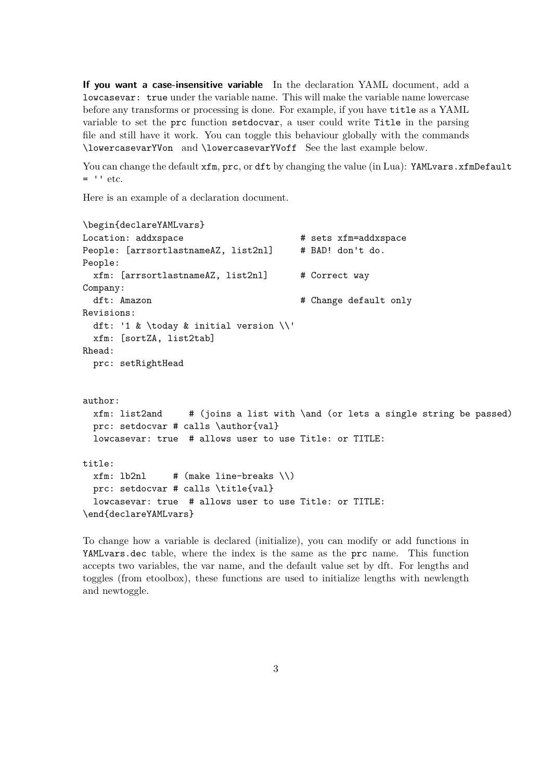**If you want a case-insensitive variable** In the declaration YAML document, add a lowcasevar: true under the variable name. This will make the variable name lowercase before any transforms or processing is done. For example, if you have title as a YAML variable to set the prc function setdocvar, a user could write Title in the parsing file and still have it work. You can toggle this behaviour globally with the commands \lowercasevarYVon and \lowercasevarYVoff See the last example below.

You can change the default  $xfm$ , prc, or dft by changing the value (in Lua): YAMLvars.xfmDefault  $=$  '' etc.

Here is an example of a declaration document.

```
\begin{declareYAMLvars}
Location: addxspace \qquad # sets xfm=addxspace
People: [arrsortlastnameAZ, list2nl] # BAD! don't do.
People:
 xfm: [arrsortlastnameAZ, list2nl] # Correct way
Company:
 dft: Amazon # Change default only
Revisions:
 dft: '1 & \today & initial version \\'
 xfm: [sortZA, list2tab]
Rhead:
 prc: setRightHead
author:
 xfm: list2and # (joins a list with \and (or lets a single string be passed)
 prc: setdocvar # calls \author{val}
 lowcasevar: true # allows user to use Title: or TITLE:
title:
 xfm: lb2n1 # (make line-breaks \\)
 prc: setdocvar # calls \title{val}
 lowcasevar: true # allows user to use Title: or TITLE:
\end{declareYAMLvars}
```
To change how a variable is declared (initialize), you can modify or add functions in YAMLvars.dec table, where the index is the same as the prc name. This function accepts two variables, the var name, and the default value set by dft. For lengths and toggles (from etoolbox), these functions are used to initialize lengths with newlength and newtoggle.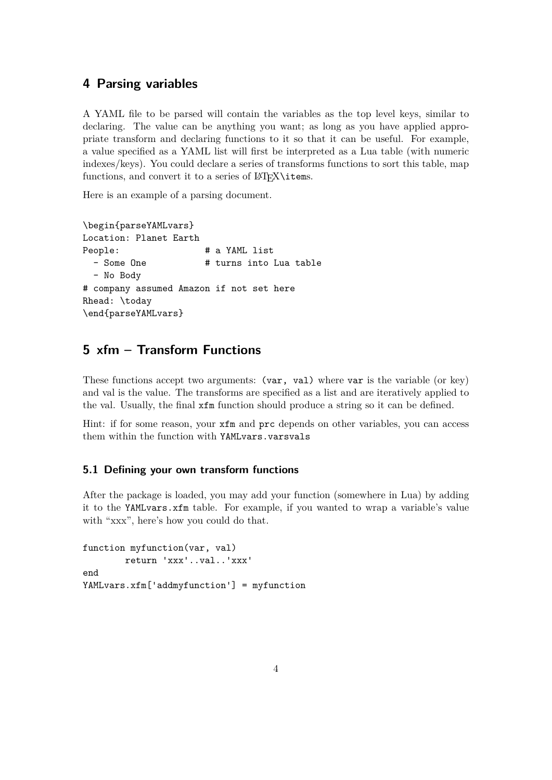### **4 Parsing variables**

A YAML file to be parsed will contain the variables as the top level keys, similar to declaring. The value can be anything you want; as long as you have applied appropriate transform and declaring functions to it so that it can be useful. For example, a value specified as a YAML list will first be interpreted as a Lua table (with numeric indexes/keys). You could declare a series of transforms functions to sort this table, map functions, and convert it to a series of  $\text{MTFX}\times$ 

Here is an example of a parsing document.

```
\begin{parseYAMLvars}
Location: Planet Earth
People: \qquad \qquad \qquad # a YAML list- Some One \# turns into Lua table
  - No Body
# company assumed Amazon if not set here
Rhead: \today
\end{parseYAMLvars}
```
# **5 xfm – Transform Functions**

These functions accept two arguments: (var, val) where var is the variable (or key) and val is the value. The transforms are specified as a list and are iteratively applied to the val. Usually, the final xfm function should produce a string so it can be defined.

Hint: if for some reason, your xfm and prc depends on other variables, you can access them within the function with YAMLvars.varsvals

#### **5.1 Defining your own transform functions**

After the package is loaded, you may add your function (somewhere in Lua) by adding it to the YAMLvars.xfm table. For example, if you wanted to wrap a variable's value with "xxx", here's how you could do that.

```
function myfunction(var, val)
        return 'xxx'..val..'xxx'
end
YAMLvars.xfm['addmyfunction'] = myfunction
```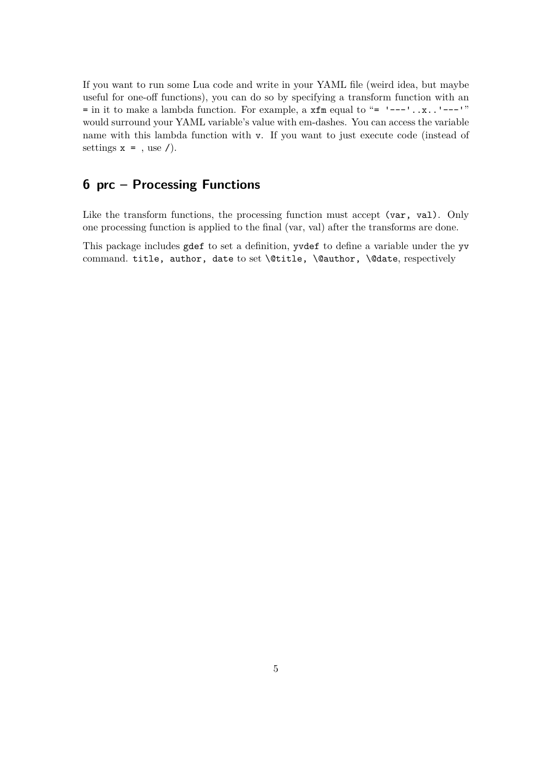If you want to run some Lua code and write in your YAML file (weird idea, but maybe useful for one-off functions), you can do so by specifying a transform function with an  $=$  in it to make a lambda function. For example, a  $xfm$  equal to " $=$  '---'.. $x$ ..'---'" would surround your YAML variable's value with em-dashes. You can access the variable name with this lambda function with v. If you want to just execute code (instead of settings  $x = 0$ , use  $\ell$ .

# **6 prc – Processing Functions**

Like the transform functions, the processing function must accept (var, val). Only one processing function is applied to the final (var, val) after the transforms are done.

This package includes gdef to set a definition, yvdef to define a variable under the yv command. title, author, date to set \@title, \@author, \@date, respectively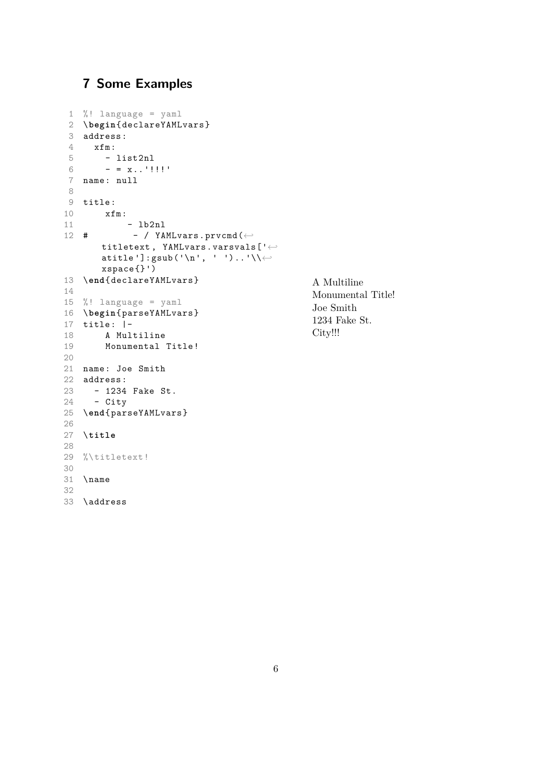# **7 Some Examples**

```
1 %! language = yaml
 2 \begin{ declareYAMLvars }
 3 address:
4 xfm:
5 - list2nl
6 - x_{1}, '!!!'
7 name: null
8
9 title:
10 xfm:
11 - 1b2n1- / YAMLvars.prvcmd(\leftarrowtitletext, YAMLvars.varsvals['\leftrightarrowatitle ']: gsub('\n', ' ')..'\\\leftrightarrowxspace {}')
13 \end{ declareYAMLvars }
14
15 %! language = yaml
16 \begin{ parseYAMLvars }
17 title: |-
18 A Multiline
19 Monumental Title!
20
21 name: Joe Smith
22 address:
23 - 1234 Fake St.
24 - City
25 \end{ parseYAMLvars }
26
27 \title
28
29 %\titletext!
30
31 \name
32
33 \address
```

```
A Multiline
Monumental Title!
Joe Smith
1234 Fake St.
City!!!
```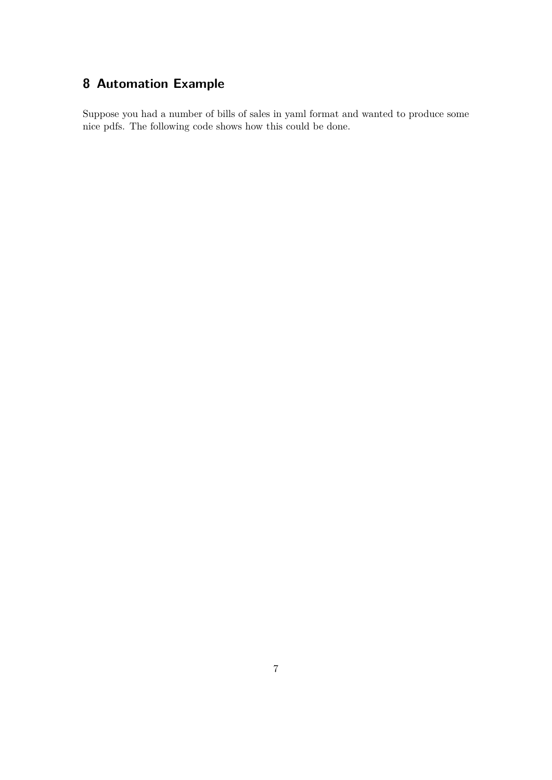# **8 Automation Example**

Suppose you had a number of bills of sales in yaml format and wanted to produce some nice pdfs. The following code shows how this could be done.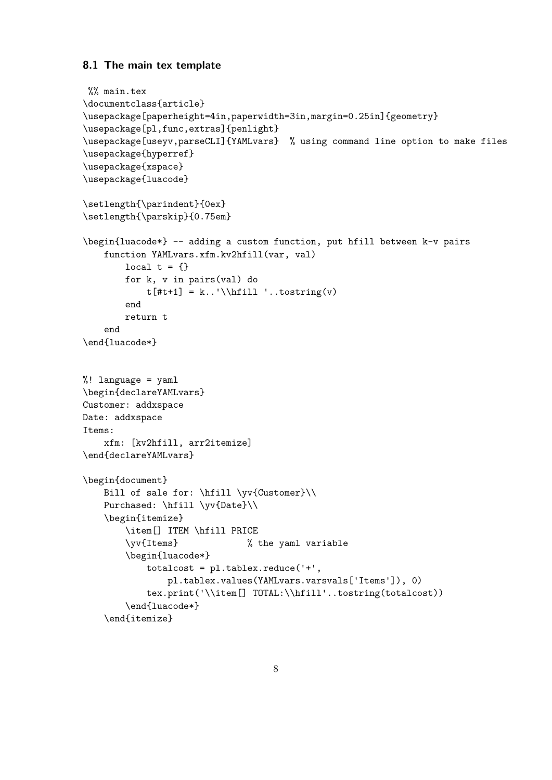#### **8.1 The main tex template**

```
%% main.tex
\documentclass{article}
\usepackage[paperheight=4in,paperwidth=3in,margin=0.25in]{geometry}
\usepackage[pl,func,extras]{penlight}
\usepackage[useyv,parseCLI]{YAMLvars} % using command line option to make files
\usepackage{hyperref}
\usepackage{xspace}
\usepackage{luacode}
\setlength{\parindent}{0ex}
\setlength{\parskip}{0.75em}
\begin{luacode*} -- adding a custom function, put hfill between k-v pairs
   function YAMLvars.xfm.kv2hfill(var, val)
        local t = \{\}for k, v in pairs(val) do
            t[#t+1] = k. ''\hifill '..tostring(v)end
       return t
   end
\end{luacode*}
%! language = yaml
\begin{declareYAMLvars}
Customer: addxspace
Date: addxspace
Items:
   xfm: [kv2hfill, arr2itemize]
\end{declareYAMLvars}
\begin{document}
   Bill of sale for: \hfill \yv{Customer}\\
   Purchased: \hfill \yv{Date}\\
   \begin{itemize}
        \item[] ITEM \hfill PRICE
        \yv{Items} % the yaml variable
        \begin{luacode*}
            totalcost = pl.tablex.readuce('++',pl.tablex.values(YAMLvars.varsvals['Items']), 0)
            tex.print('\\item[] TOTAL:\\hfill'..tostring(totalcost))
        \end{luacode*}
    \end{itemize}
```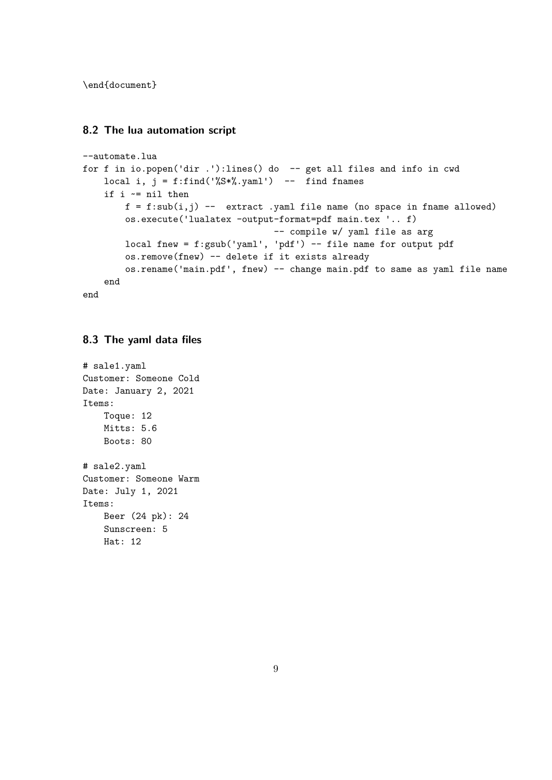\end{document}

#### **8.2 The lua automation script**

```
--automate.lua
for f in io.popen('dir .'):lines() do -- get all files and info in cwd
   local i, j = f:find('%S*, 'yaml') -- find framesif i ~= nil then
        f = f:sub(i,j) -- extract .yaml file name (no space in fname allowed)
        os.execute('lualatex -output-format=pdf main.tex '.. f)
                                    -- compile w/ yaml file as arg
        local fnew = f:gsub('yaml', 'pdf') -- file name for output pdf
        os.remove(fnew) -- delete if it exists already
        os.rename('main.pdf', fnew) -- change main.pdf to same as yaml file name
   end
end
```
### **8.3 The yaml data files**

```
# sale1.yaml
Customer: Someone Cold
Date: January 2, 2021
Items:
    Toque: 12
    Mitts: 5.6
    Boots: 80
# sale2.yaml
Customer: Someone Warm
Date: July 1, 2021
Items:
    Beer (24 pk): 24
    Sunscreen: 5
    Hat: 12
```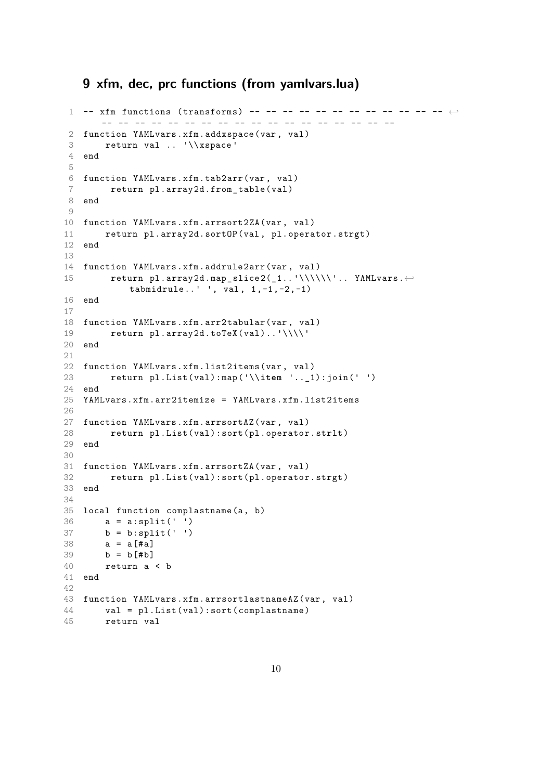# **9 xfm, dec, prc functions (from yamlvars.lua)**

```
1 -- xfm functions (transforms) -- -- -- -- -- -- -- -- -- -- -- -- \leftrightarrow- -- - -- - -- - -- - -- - -- - -- - -- - -- - -- - -- - -- - -- -2 function YAMLvars.xfm. addxspace (var , val)
 3 return val .. '\\xspace '
4 end
5
6 function YAMLvars.xfm.tab2arr(var , val)
7 return pl.array2d.from_table(val)
8 end
\circ10 function YAMLvars.xfm.arrsort2ZA(var , val)
11 return pl.array2d.sortOP(val , pl.operator.strgt)
12 end
13
14 function YAMLvars.xfm.addrule2arr(var , val)
15 return pl.array2d.map slice 2( 1.. '\\\\\\'.. YAMLvars. \leftarrowtabmidt rule...' ', val, 1, -1, -2, -1)16 end
17
18 function YAMLvars.xfm.arr2tabular(var , val)
19 return pl.array2d.toTeX(val).. '\\\\ '
20 end
2122 function YAMLvars.xfm.list2items(var , val)
23 return pl.List(val):map ('\\item '.._1):join(' ')
24 end
25 YAMLvars.xfm.arr2itemize = YAMLvars .xfm.list2items
26
27 function YAMLvars.xfm. arrsortAZ (var , val)
28 return pl.List(val):sort(pl.operator.strlt)
29 end
30
31 function YAMLvars.xfm. arrsortZA (var , val)
32 return pl.List(val):sort(pl.operator.strgt)
33 end
34
35 local function complastname (a, b)
36 a = a:split(' ')
37 b = b:split(' ')
38 \t a = a \cdot 4a39 b = b \uparrow \uparrow b \uparrow40 return a < b
41 end
42
43 function YAMLvars.xfm. arrsortlastnameAZ (var , val)
44 val = pl.List(val):sort( complastname )
45 return val
```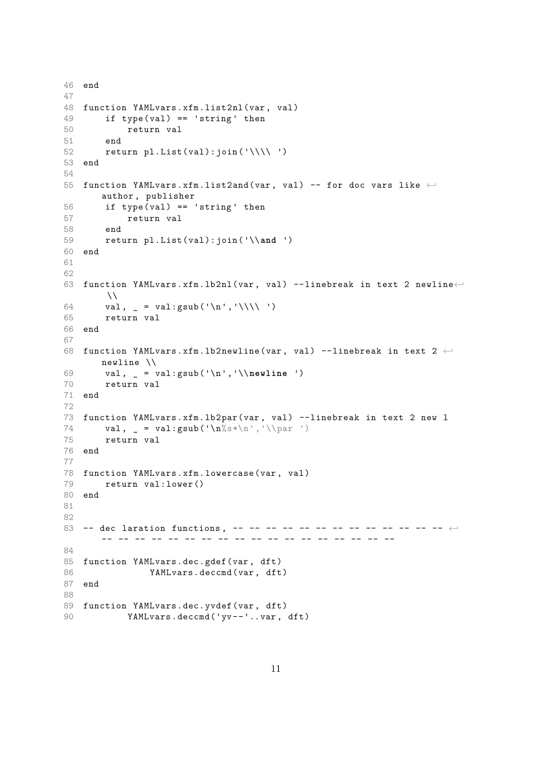```
46 end
47
48 function YAMLvars.xfm.list2nl(var , val)
49 if type(val) == 'string ' then
50 return val
51 end
52 return pl.List(val): join('\\ \')
53 end
54
55 function YAMLvars.xfm.list2and(var, val) -- for doc vars like \leftrightarrowauthor , publisher
56 if type(val) == 'string' then
57 return val
58 end
59 return pl.List(val):join ('\\and ')
60 end
61
62
63 function YAMLvars.xfm.lb2nl(var, val) --linebreak in text 2 newline←
       \lambda64 val, _ = val:gsub('\n','\\\\ ')
65 return val
66 end
67
68 function YAMLvars.xfm.lb2newline(var, val) --linebreak in text 2 \leftrightarrownewline \\
69 val , _ = val:gsub ('\n','\\newline ')
70 return val
71 end
72
73 function YAMLvars.xfm.lb2par(var , val) --linebreak in text 2 new l
74 val, = val:gsub('n%s*\n', '\\parrow par ')75 return val
76 end
77
78 function YAMLvars.xfm. lowercase (var , val)
79 return val:lower ()
80 end
81
82
83 -- dec laration functions , -- -- -- -- -- -- -- -- -- -- -- -- -- ←-
      -- -- -- -- -- -- -- -- -- -- -- -- -- -- -- -- -- --
84
85 function YAMLvars.dec.gdef(var, dft)
86 YAMLvars.deccmd(var, dft)
87 end
88
89 function YAMLvars.dec.yvdef(var, dft)
90 YAMLvars.deccmd('yv--'..var, dft)
```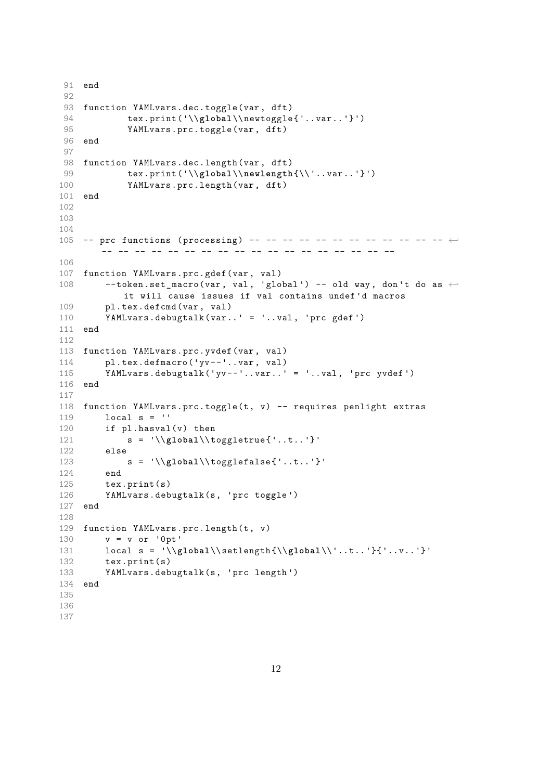```
91 end
92
93 function YAMLvars.dec.toggle(var, dft)
94 tex.print ('\\global\\newtoggle{'..var..'}')
95 YAMLvars.prc.toggle(var, dft)
96 end
97
98 function YAMLvars.dec.length(var, dft)
99 tex.print ('\\global\\newlength{\\ '.. var ..'}')
100 YAMLvars.prc.length(var , dft)
101 end
102
103
104
105 -- prc functions (processing) -- -- -- -- -- -- -- -- -- -- -- -- \leftrightarrow-- -- -- -- -- -- -- -- -- -- -- -- -- -- -- -- -- --
106
107 function YAMLvars.prc.gdef(var , val)
108 --token.set_macro(var, val, 'global') -- old way, don't do as \leftarrowit will cause issues if val contains undef 'd macros
109 pl.tex.defcmd(var , val)
110 YAMLvars. debugtalk (var..' = '..val , 'prc gdef ')
111 end
112
113 function YAMLvars.prc.yvdef(var, val)
114 pl.tex.defmacro('yv--'..var, val)
115 YAMLvars. debugtalk ('yv --'..var..' = '..val , 'prc yvdef ')
116 end
117
118 function YAMLvars.prc.toggle(t, v) -- requires penlight extras
119 local s = ''
120 if pl.hasval(v) then
121 s = '\\global\\ toggletrue {'..t..'}'
122 else
123 s = '\\global\\ togglefalse {'..t..'}'
124 end
125 tex.print(s)
126 YAMLvars. debugtalk (s, 'prc toggle ')
127 end
128
129 function YAMLvars.prc.length(t, v)
130 v = v or '0pt '
131 local s = '\\global\\ setlength {\\global\\ '..t.. '}{ '..v..'}'
132 tex.print(s)
133 YAMLvars. debugtalk (s, 'prc length ')
134 end
135
136
137
```